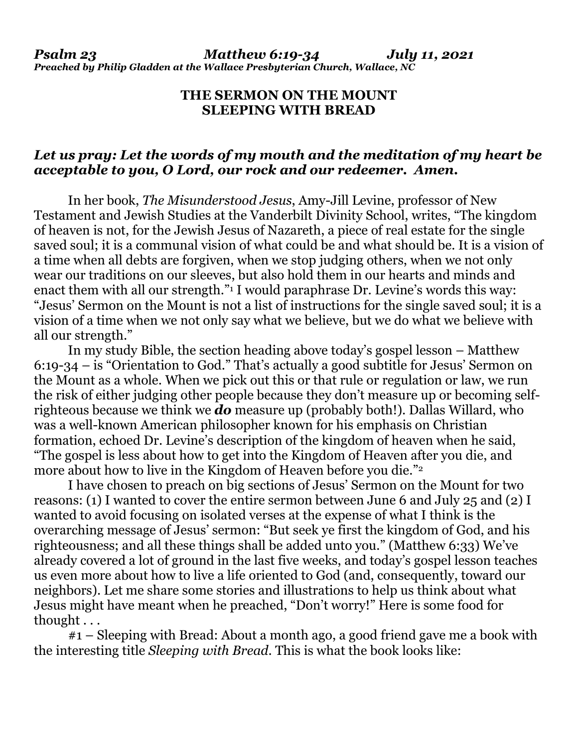## **THE SERMON ON THE MOUNT SLEEPING WITH BREAD**

## *Let us pray: Let the words of my mouth and the meditation of my heart be acceptable to you, O Lord, our rock and our redeemer. Amen.*

 In her book, *The Misunderstood Jesus*, Amy-Jill Levine, professor of New Testament and Jewish Studies at the Vanderbilt Divinity School, writes, "The kingdom of heaven is not, for the Jewish Jesus of Nazareth, a piece of real estate for the single saved soul; it is a communal vision of what could be and what should be. It is a vision of a time when all debts are forgiven, when we stop judging others, when we not only wear our traditions on our sleeves, but also hold them in our hearts and minds and enact them with all our strength."<sup>1</sup> I would paraphrase Dr. Levine's words this way: "Jesus' Sermon on the Mount is not a list of instructions for the single saved soul; it is a vision of a time when we not only say what we believe, but we do what we believe with all our strength."

 In my study Bible, the section heading above today's gospel lesson – Matthew 6:19-34 – is "Orientation to God." That's actually a good subtitle for Jesus' Sermon on the Mount as a whole. When we pick out this or that rule or regulation or law, we run the risk of either judging other people because they don't measure up or becoming selfrighteous because we think we *do* measure up (probably both!). Dallas Willard, who was a well-known American philosopher known for his emphasis on Christian formation, echoed Dr. Levine's description of the kingdom of heaven when he said, "The gospel is less about how to get into the Kingdom of Heaven after you die, and more about how to live in the Kingdom of Heaven before you die."2

 I have chosen to preach on big sections of Jesus' Sermon on the Mount for two reasons: (1) I wanted to cover the entire sermon between June 6 and July 25 and (2) I wanted to avoid focusing on isolated verses at the expense of what I think is the overarching message of Jesus' sermon: "But seek ye first the kingdom of God, and his righteousness; and all these things shall be added unto you." (Matthew 6:33) We've already covered a lot of ground in the last five weeks, and today's gospel lesson teaches us even more about how to live a life oriented to God (and, consequently, toward our neighbors). Let me share some stories and illustrations to help us think about what Jesus might have meant when he preached, "Don't worry!" Here is some food for thought . . .

#1 – Sleeping with Bread: About a month ago, a good friend gave me a book with the interesting title *Sleeping with Bread*. This is what the book looks like: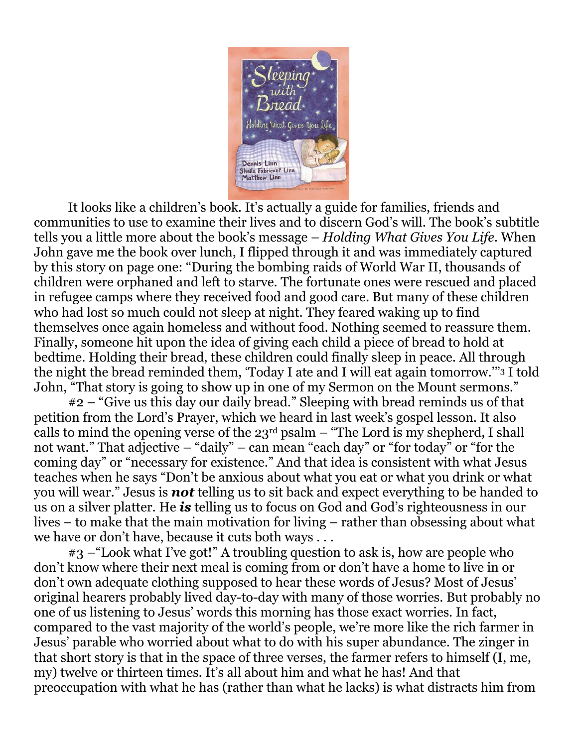

 It looks like a children's book. It's actually a guide for families, friends and communities to use to examine their lives and to discern God's will. The book's subtitle tells you a little more about the book's message – *Holding What Gives You Life*. When John gave me the book over lunch, I flipped through it and was immediately captured by this story on page one: "During the bombing raids of World War II, thousands of children were orphaned and left to starve. The fortunate ones were rescued and placed in refugee camps where they received food and good care. But many of these children who had lost so much could not sleep at night. They feared waking up to find themselves once again homeless and without food. Nothing seemed to reassure them. Finally, someone hit upon the idea of giving each child a piece of bread to hold at bedtime. Holding their bread, these children could finally sleep in peace. All through the night the bread reminded them, 'Today I ate and I will eat again tomorrow.'"3 I told John, "That story is going to show up in one of my Sermon on the Mount sermons."

 #2 – "Give us this day our daily bread." Sleeping with bread reminds us of that petition from the Lord's Prayer, which we heard in last week's gospel lesson. It also calls to mind the opening verse of the  $23<sup>rd</sup>$  psalm – "The Lord is my shepherd, I shall not want." That adjective – "daily" – can mean "each day" or "for today" or "for the coming day" or "necessary for existence." And that idea is consistent with what Jesus teaches when he says "Don't be anxious about what you eat or what you drink or what you will wear." Jesus is *not* telling us to sit back and expect everything to be handed to us on a silver platter. He *is* telling us to focus on God and God's righteousness in our lives – to make that the main motivation for living – rather than obsessing about what we have or don't have, because it cuts both ways . . .

 #3 –"Look what I've got!" A troubling question to ask is, how are people who don't know where their next meal is coming from or don't have a home to live in or don't own adequate clothing supposed to hear these words of Jesus? Most of Jesus' original hearers probably lived day-to-day with many of those worries. But probably no one of us listening to Jesus' words this morning has those exact worries. In fact, compared to the vast majority of the world's people, we're more like the rich farmer in Jesus' parable who worried about what to do with his super abundance. The zinger in that short story is that in the space of three verses, the farmer refers to himself (I, me, my) twelve or thirteen times. It's all about him and what he has! And that preoccupation with what he has (rather than what he lacks) is what distracts him from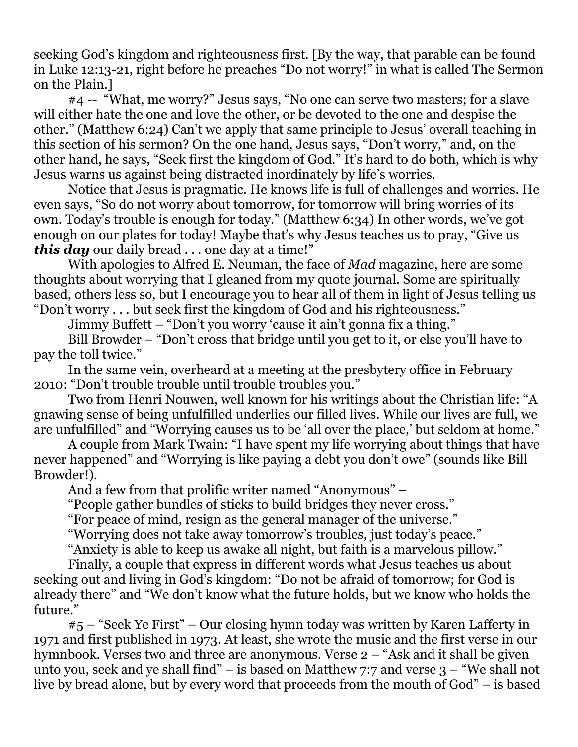seeking God's kingdom and righteousness first. [By the way, that parable can be found in Luke 12:13-21, right before he preaches "Do not worry!" in what is called The Sermon on the Plain.]

 #4 -- "What, me worry?" Jesus says, "No one can serve two masters; for a slave will either hate the one and love the other, or be devoted to the one and despise the other." (Matthew 6:24) Can't we apply that same principle to Jesus' overall teaching in this section of his sermon? On the one hand, Jesus says, "Don't worry," and, on the other hand, he says, "Seek first the kingdom of God." It's hard to do both, which is why Jesus warns us against being distracted inordinately by life's worries.

 Notice that Jesus is pragmatic. He knows life is full of challenges and worries. He even says, "So do not worry about tomorrow, for tomorrow will bring worries of its own. Today's trouble is enough for today." (Matthew 6:34) In other words, we've got enough on our plates for today! Maybe that's why Jesus teaches us to pray, "Give us *this day* our daily bread . . . one day at a time!"

 With apologies to Alfred E. Neuman, the face of *Mad* magazine, here are some thoughts about worrying that I gleaned from my quote journal. Some are spiritually based, others less so, but I encourage you to hear all of them in light of Jesus telling us "Don't worry . . . but seek first the kingdom of God and his righteousness."

Jimmy Buffett – "Don't you worry 'cause it ain't gonna fix a thing."

 Bill Browder – "Don't cross that bridge until you get to it, or else you'll have to pay the toll twice."

 In the same vein, overheard at a meeting at the presbytery office in February 2010: "Don't trouble trouble until trouble troubles you."

 Two from Henri Nouwen, well known for his writings about the Christian life: "A gnawing sense of being unfulfilled underlies our filled lives. While our lives are full, we are unfulfilled" and "Worrying causes us to be 'all over the place,' but seldom at home."

 A couple from Mark Twain: "I have spent my life worrying about things that have never happened" and "Worrying is like paying a debt you don't owe" (sounds like Bill Browder!).

And a few from that prolific writer named "Anonymous" –

"People gather bundles of sticks to build bridges they never cross."

"For peace of mind, resign as the general manager of the universe."

"Worrying does not take away tomorrow's troubles, just today's peace."

"Anxiety is able to keep us awake all night, but faith is a marvelous pillow."

 Finally, a couple that express in different words what Jesus teaches us about seeking out and living in God's kingdom: "Do not be afraid of tomorrow; for God is already there" and "We don't know what the future holds, but we know who holds the future."

 #5 – "Seek Ye First" – Our closing hymn today was written by Karen Lafferty in 1971 and first published in 1973. At least, she wrote the music and the first verse in our hymnbook. Verses two and three are anonymous. Verse 2 – "Ask and it shall be given unto you, seek and ye shall find" – is based on Matthew 7:7 and verse 3 – "We shall not live by bread alone, but by every word that proceeds from the mouth of God" – is based